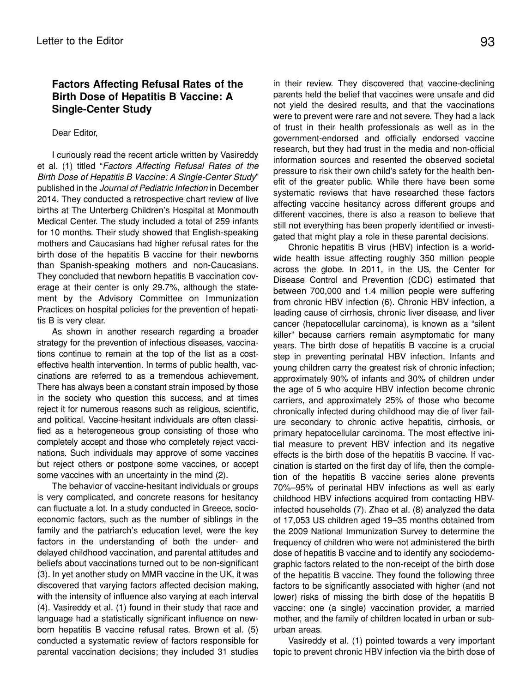## **Factors Affecting Refusal Rates of the Birth Dose of Hepatitis B Vaccine: A Single-Center Study**

## Dear Editor,

I curiously read the recent article written by Vasireddy et al. (1) titled "*Factors Affecting Refusal Rates of the Birth Dose of Hepatitis B Vaccine: A Single-Center Study*" published in the *Journal of Pediatric Infection* in December 2014. They conducted a retrospective chart review of live births at The Unterberg Children's Hospital at Monmouth Medical Center. The study included a total of 259 infants for 10 months. Their study showed that English-speaking mothers and Caucasians had higher refusal rates for the birth dose of the hepatitis B vaccine for their newborns than Spanish-speaking mothers and non-Caucasians. They concluded that newborn hepatitis B vaccination coverage at their center is only 29.7%, although the statement by the Advisory Committee on Immunization Practices on hospital policies for the prevention of hepatitis B is very clear.

As shown in another research regarding a broader strategy for the prevention of infectious diseases, vaccinations continue to remain at the top of the list as a costeffective health intervention. In terms of public health, vaccinations are referred to as a tremendous achievement. There has always been a constant strain imposed by those in the society who question this success, and at times reject it for numerous reasons such as religious, scientific, and political. Vaccine-hesitant individuals are often classified as a heterogeneous group consisting of those who completely accept and those who completely reject vaccinations. Such individuals may approve of some vaccines but reject others or postpone some vaccines, or accept some vaccines with an uncertainty in the mind (2).

The behavior of vaccine-hesitant individuals or groups is very complicated, and concrete reasons for hesitancy can fluctuate a lot. In a study conducted in Greece, socioeconomic factors, such as the number of siblings in the family and the patriarch's education level, were the key factors in the understanding of both the under- and delayed childhood vaccination, and parental attitudes and beliefs about vaccinations turned out to be non-significant (3). In yet another study on MMR vaccine in the UK, it was discovered that varying factors affected decision making, with the intensity of influence also varying at each interval (4). Vasireddy et al. (1) found in their study that race and language had a statistically significant influence on newborn hepatitis B vaccine refusal rates. Brown et al. (5) conducted a systematic review of factors responsible for parental vaccination decisions; they included 31 studies

in their review. They discovered that vaccine-declining parents held the belief that vaccines were unsafe and did not yield the desired results, and that the vaccinations were to prevent were rare and not severe. They had a lack of trust in their health professionals as well as in the government-endorsed and officially endorsed vaccine research, but they had trust in the media and non-official information sources and resented the observed societal pressure to risk their own child's safety for the health benefit of the greater public. While there have been some systematic reviews that have researched these factors affecting vaccine hesitancy across different groups and different vaccines, there is also a reason to believe that still not everything has been properly identified or investigated that might play a role in these parental decisions.

Chronic hepatitis B virus (HBV) infection is a worldwide health issue affecting roughly 350 million people across the globe. In 2011, in the US, the Center for Disease Control and Prevention (CDC) estimated that between 700,000 and 1.4 million people were suffering from chronic HBV infection (6). Chronic HBV infection, a leading cause of cirrhosis, chronic liver disease, and liver cancer (hepatocellular carcinoma), is known as a "silent killer" because carriers remain asymptomatic for many years. The birth dose of hepatitis B vaccine is a crucial step in preventing perinatal HBV infection. Infants and young children carry the greatest risk of chronic infection; approximately 90% of infants and 30% of children under the age of 5 who acquire HBV infection become chronic carriers, and approximately 25% of those who become chronically infected during childhood may die of liver failure secondary to chronic active hepatitis, cirrhosis, or primary hepatocellular carcinoma. The most effective initial measure to prevent HBV infection and its negative effects is the birth dose of the hepatitis B vaccine. If vaccination is started on the first day of life, then the completion of the hepatitis B vaccine series alone prevents 70%–95% of perinatal HBV infections as well as early childhood HBV infections acquired from contacting HBVinfected households (7). Zhao et al. (8) analyzed the data of 17,053 US children aged 19–35 months obtained from the 2009 National Immunization Survey to determine the frequency of children who were not administered the birth dose of hepatitis B vaccine and to identify any sociodemographic factors related to the non-receipt of the birth dose of the hepatitis B vaccine. They found the following three factors to be significantly associated with higher (and not lower) risks of missing the birth dose of the hepatitis B vaccine: one (a single) vaccination provider, a married mother, and the family of children located in urban or suburban areas.

Vasireddy et al. (1) pointed towards a very important topic to prevent chronic HBV infection via the birth dose of